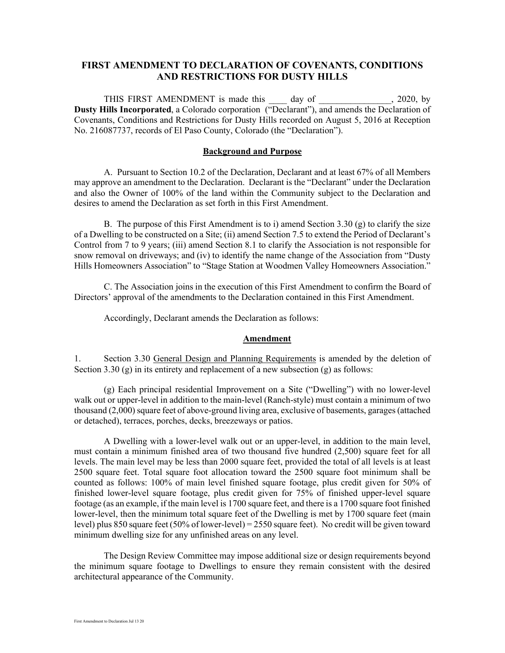## **FIRST AMENDMENT TO DECLARATION OF COVENANTS, CONDITIONS AND RESTRICTIONS FOR DUSTY HILLS**

THIS FIRST AMENDMENT is made this 100 day of 2020, by **Dusty Hills Incorporated**, a Colorado corporation ("Declarant"), and amends the Declaration of Covenants, Conditions and Restrictions for Dusty Hills recorded on August 5, 2016 at Reception No. 216087737, records of El Paso County, Colorado (the "Declaration").

#### **Background and Purpose**

A. Pursuant to Section 10.2 of the Declaration, Declarant and at least 67% of all Members may approve an amendment to the Declaration. Declarant is the "Declarant" under the Declaration and also the Owner of 100% of the land within the Community subject to the Declaration and desires to amend the Declaration as set forth in this First Amendment.

B. The purpose of this First Amendment is to i) amend Section 3.30 (g) to clarify the size of a Dwelling to be constructed on a Site; (ii) amend Section 7.5 to extend the Period of Declarant's Control from 7 to 9 years; (iii) amend Section 8.1 to clarify the Association is not responsible for snow removal on driveways; and (iv) to identify the name change of the Association from "Dusty Hills Homeowners Association" to "Stage Station at Woodmen Valley Homeowners Association."

C. The Association joins in the execution of this First Amendment to confirm the Board of Directors' approval of the amendments to the Declaration contained in this First Amendment.

Accordingly, Declarant amends the Declaration as follows:

#### **Amendment**

1. Section 3.30 General Design and Planning Requirements is amended by the deletion of Section 3.30  $(g)$  in its entirety and replacement of a new subsection  $(g)$  as follows:

(g) Each principal residential Improvement on a Site ("Dwelling") with no lower-level walk out or upper-level in addition to the main-level (Ranch-style) must contain a minimum of two thousand (2,000) square feet of above-ground living area, exclusive of basements, garages (attached or detached), terraces, porches, decks, breezeways or patios.

A Dwelling with a lower-level walk out or an upper-level, in addition to the main level, must contain a minimum finished area of two thousand five hundred (2,500) square feet for all levels. The main level may be less than 2000 square feet, provided the total of all levels is at least 2500 square feet. Total square foot allocation toward the 2500 square foot minimum shall be counted as follows: 100% of main level finished square footage, plus credit given for 50% of finished lower-level square footage, plus credit given for 75% of finished upper-level square footage (as an example, if the main level is 1700 square feet, and there is a 1700 square foot finished lower-level, then the minimum total square feet of the Dwelling is met by 1700 square feet (main level) plus 850 square feet (50% of lower-level) = 2550 square feet). No credit will be given toward minimum dwelling size for any unfinished areas on any level.

The Design Review Committee may impose additional size or design requirements beyond the minimum square footage to Dwellings to ensure they remain consistent with the desired architectural appearance of the Community.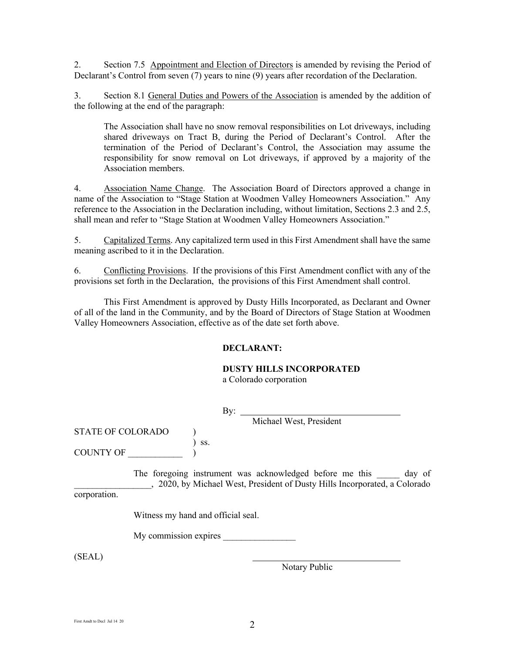2. Section 7.5 Appointment and Election of Directors is amended by revising the Period of Declarant's Control from seven (7) years to nine (9) years after recordation of the Declaration.

3. Section 8.1 General Duties and Powers of the Association is amended by the addition of the following at the end of the paragraph:

The Association shall have no snow removal responsibilities on Lot driveways, including shared driveways on Tract B, during the Period of Declarant's Control. After the termination of the Period of Declarant's Control, the Association may assume the responsibility for snow removal on Lot driveways, if approved by a majority of the Association members.

4. Association Name Change. The Association Board of Directors approved a change in name of the Association to "Stage Station at Woodmen Valley Homeowners Association." Any reference to the Association in the Declaration including, without limitation, Sections 2.3 and 2.5, shall mean and refer to "Stage Station at Woodmen Valley Homeowners Association."

5. Capitalized Terms. Any capitalized term used in this First Amendment shall have the same meaning ascribed to it in the Declaration.

6. Conflicting Provisions. If the provisions of this First Amendment conflict with any of the provisions set forth in the Declaration, the provisions of this First Amendment shall control.

This First Amendment is approved by Dusty Hills Incorporated, as Declarant and Owner of all of the land in the Community, and by the Board of Directors of Stage Station at Woodmen Valley Homeowners Association, effective as of the date set forth above.

## **DECLARANT:**

# **DUSTY HILLS INCORPORATED**

a Colorado corporation

By:  $_{-}$ 

Michael West, President

STATE OF COLORADO ) ) ss.

COUNTY OF

The foregoing instrument was acknowledged before me this day of \_\_\_\_\_\_\_\_\_\_\_\_\_\_\_\_\_, 2020, by Michael West, President of Dusty Hills Incorporated, a Colorado

corporation.

Witness my hand and official seal.

My commission expires

(SEAL)

Notary Public